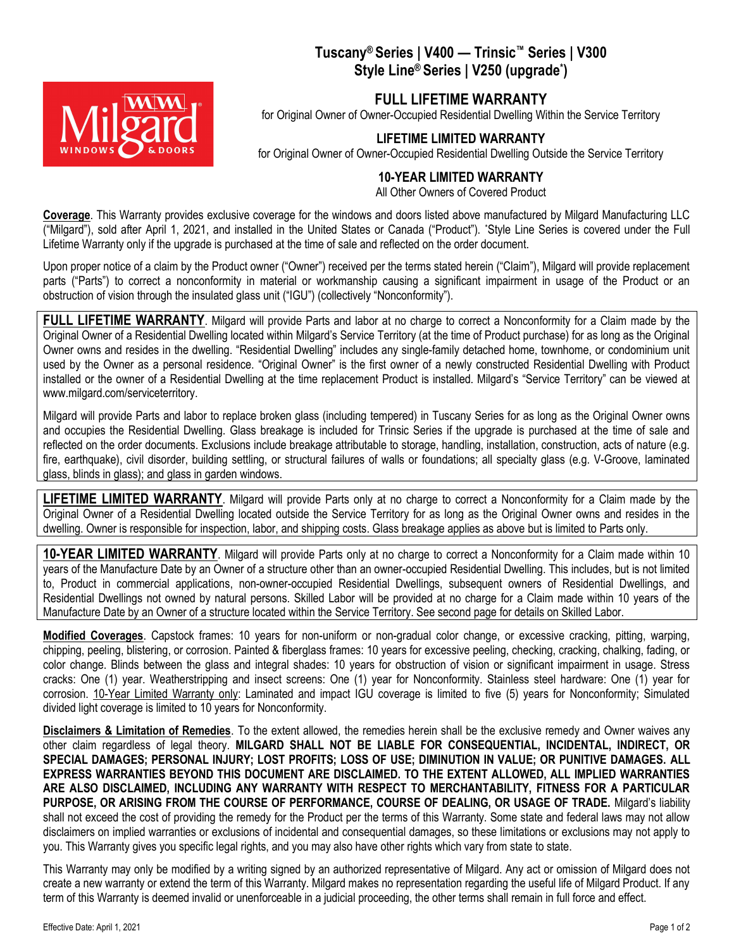## Tuscany® Series | V400 — Trinsic™ Series | V300 Style Line® Series | V250 (upgrade\*)



for Original Owner of Owner-Occupied Residential Dwelling Within the Service Territory

## LIFETIME LIMITED WARRANTY

for Original Owner of Owner-Occupied Residential Dwelling Outside the Service Territory

## 10-YEAR LIMITED WARRANTY

All Other Owners of Covered Product

Coverage. This Warranty provides exclusive coverage for the windows and doors listed above manufactured by Milgard Manufacturing LLC ("Milgard"), sold after April 1, 2021, and installed in the United States or Canada ("Product"). \*Style Line Series is covered under the Full Lifetime Warranty only if the upgrade is purchased at the time of sale and reflected on the order document.

Upon proper notice of a claim by the Product owner ("Owner") received per the terms stated herein ("Claim"), Milgard will provide replacement parts ("Parts") to correct a nonconformity in material or workmanship causing a significant impairment in usage of the Product or an obstruction of vision through the insulated glass unit ("IGU") (collectively "Nonconformity").

FULL LIFETIME WARRANTY. Milgard will provide Parts and labor at no charge to correct a Nonconformity for a Claim made by the Original Owner of a Residential Dwelling located within Milgard's Service Territory (at the time of Product purchase) for as long as the Original Owner owns and resides in the dwelling. "Residential Dwelling" includes any single-family detached home, townhome, or condominium unit used by the Owner as a personal residence. "Original Owner" is the first owner of a newly constructed Residential Dwelling with Product installed or the owner of a Residential Dwelling at the time replacement Product is installed. Milgard's "Service Territory" can be viewed at www.milgard.com/serviceterritory.

Milgard will provide Parts and labor to replace broken glass (including tempered) in Tuscany Series for as long as the Original Owner owns and occupies the Residential Dwelling. Glass breakage is included for Trinsic Series if the upgrade is purchased at the time of sale and reflected on the order documents. Exclusions include breakage attributable to storage, handling, installation, construction, acts of nature (e.g. fire, earthquake), civil disorder, building settling, or structural failures of walls or foundations; all specialty glass (e.g. V-Groove, laminated glass, blinds in glass); and glass in garden windows.

LIFETIME LIMITED WARRANTY. Milgard will provide Parts only at no charge to correct a Nonconformity for a Claim made by the Original Owner of a Residential Dwelling located outside the Service Territory for as long as the Original Owner owns and resides in the dwelling. Owner is responsible for inspection, labor, and shipping costs. Glass breakage applies as above but is limited to Parts only.

10-YEAR LIMITED WARRANTY. Milgard will provide Parts only at no charge to correct a Nonconformity for a Claim made within 10 years of the Manufacture Date by an Owner of a structure other than an owner-occupied Residential Dwelling. This includes, but is not limited to, Product in commercial applications, non-owner-occupied Residential Dwellings, subsequent owners of Residential Dwellings, and Residential Dwellings not owned by natural persons. Skilled Labor will be provided at no charge for a Claim made within 10 years of the Manufacture Date by an Owner of a structure located within the Service Territory. See second page for details on Skilled Labor.

Modified Coverages. Capstock frames: 10 years for non-uniform or non-gradual color change, or excessive cracking, pitting, warping, chipping, peeling, blistering, or corrosion. Painted & fiberglass frames: 10 years for excessive peeling, checking, cracking, chalking, fading, or color change. Blinds between the glass and integral shades: 10 years for obstruction of vision or significant impairment in usage. Stress cracks: One (1) year. Weatherstripping and insect screens: One (1) year for Nonconformity. Stainless steel hardware: One (1) year for corrosion. 10-Year Limited Warranty only: Laminated and impact IGU coverage is limited to five (5) years for Nonconformity; Simulated divided light coverage is limited to 10 years for Nonconformity.

Disclaimers & Limitation of Remedies. To the extent allowed, the remedies herein shall be the exclusive remedy and Owner waives any other claim regardless of legal theory. MILGARD SHALL NOT BE LIABLE FOR CONSEQUENTIAL, INCIDENTAL, INDIRECT, OR SPECIAL DAMAGES; PERSONAL INJURY; LOST PROFITS; LOSS OF USE; DIMINUTION IN VALUE; OR PUNITIVE DAMAGES. ALL EXPRESS WARRANTIES BEYOND THIS DOCUMENT ARE DISCLAIMED. TO THE EXTENT ALLOWED, ALL IMPLIED WARRANTIES ARE ALSO DISCLAIMED, INCLUDING ANY WARRANTY WITH RESPECT TO MERCHANTABILITY, FITNESS FOR A PARTICULAR PURPOSE, OR ARISING FROM THE COURSE OF PERFORMANCE, COURSE OF DEALING, OR USAGE OF TRADE. Milgard's liability shall not exceed the cost of providing the remedy for the Product per the terms of this Warranty. Some state and federal laws may not allow disclaimers on implied warranties or exclusions of incidental and consequential damages, so these limitations or exclusions may not apply to you. This Warranty gives you specific legal rights, and you may also have other rights which vary from state to state.

This Warranty may only be modified by a writing signed by an authorized representative of Milgard. Any act or omission of Milgard does not create a new warranty or extend the term of this Warranty. Milgard makes no representation regarding the useful life of Milgard Product. If any term of this Warranty is deemed invalid or unenforceable in a judicial proceeding, the other terms shall remain in full force and effect.